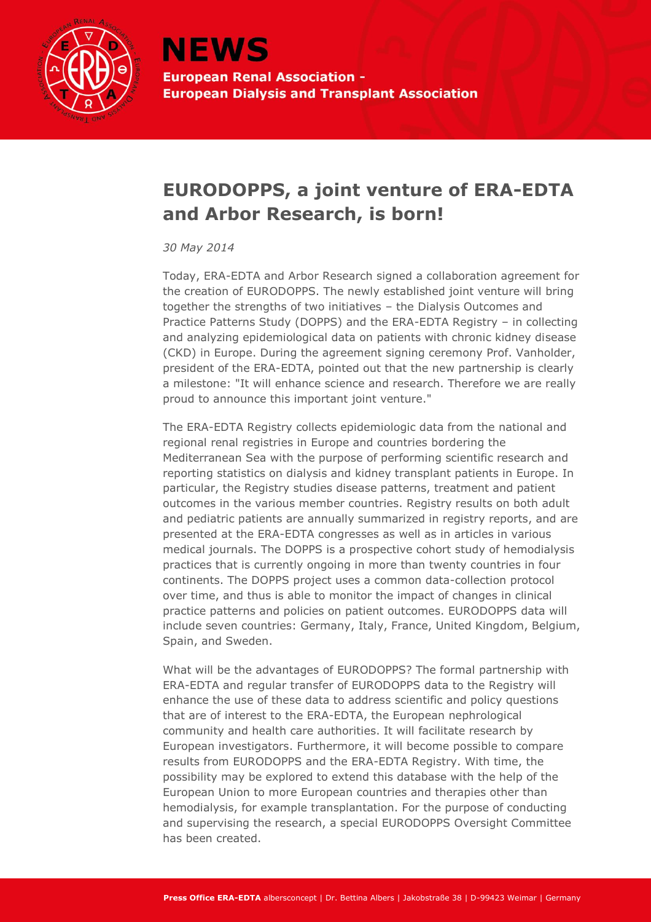

## **EURODOPPS, a joint venture of ERA-EDTA and Arbor Research, is born!**

## *30 May 2014*

Today, ERA-EDTA and Arbor Research signed a collaboration agreement for the creation of EURODOPPS. The newly established joint venture will bring together the strengths of two initiatives – the Dialysis Outcomes and Practice Patterns Study (DOPPS) and the ERA-EDTA Registry – in collecting and analyzing epidemiological data on patients with chronic kidney disease (CKD) in Europe. During the agreement signing ceremony Prof. Vanholder, president of the ERA-EDTA, pointed out that the new partnership is clearly a milestone: "It will enhance science and research. Therefore we are really proud to announce this important joint venture."

The ERA-EDTA Registry collects epidemiologic data from the national and regional renal registries in Europe and countries bordering the Mediterranean Sea with the purpose of performing scientific research and reporting statistics on dialysis and kidney transplant patients in Europe. In particular, the Registry studies disease patterns, treatment and patient outcomes in the various member countries. Registry results on both adult and pediatric patients are annually summarized in registry reports, and are presented at the ERA-EDTA congresses as well as in articles in various medical journals. The DOPPS is a prospective cohort study of hemodialysis practices that is currently ongoing in more than twenty countries in four continents. The DOPPS project uses a common data-collection protocol over time, and thus is able to monitor the impact of changes in clinical practice patterns and policies on patient outcomes. EURODOPPS data will include seven countries: Germany, Italy, France, United Kingdom, Belgium, Spain, and Sweden.

What will be the advantages of EURODOPPS? The formal partnership with ERA-EDTA and regular transfer of EURODOPPS data to the Registry will enhance the use of these data to address scientific and policy questions that are of interest to the ERA-EDTA, the European nephrological community and health care authorities. It will facilitate research by European investigators. Furthermore, it will become possible to compare results from EURODOPPS and the ERA-EDTA Registry. With time, the possibility may be explored to extend this database with the help of the European Union to more European countries and therapies other than hemodialysis, for example transplantation. For the purpose of conducting and supervising the research, a special EURODOPPS Oversight Committee has been created.